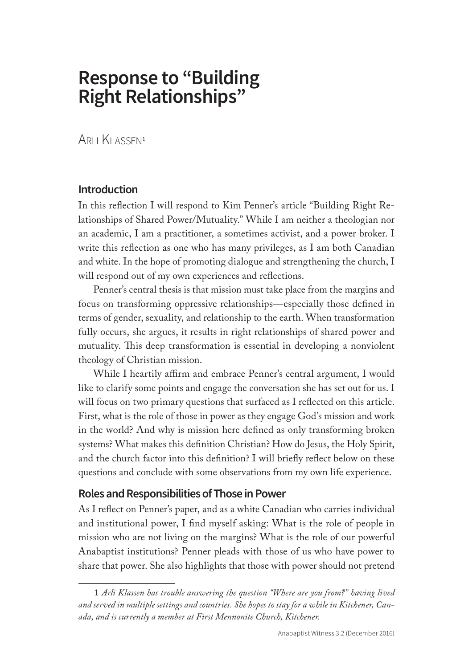# **Response to "Building Right Relationships"**

Arli Klassen<sup>1</sup>

## **Introduction**

In this reflection I will respond to Kim Penner's article "Building Right Relationships of Shared Power/Mutuality." While I am neither a theologian nor an academic, I am a practitioner, a sometimes activist, and a power broker. I write this reflection as one who has many privileges, as I am both Canadian and white. In the hope of promoting dialogue and strengthening the church, I will respond out of my own experiences and reflections.

Penner's central thesis is that mission must take place from the margins and focus on transforming oppressive relationships—especially those defined in terms of gender, sexuality, and relationship to the earth. When transformation fully occurs, she argues, it results in right relationships of shared power and mutuality. This deep transformation is essential in developing a nonviolent theology of Christian mission.

While I heartily affirm and embrace Penner's central argument, I would like to clarify some points and engage the conversation she has set out for us. I will focus on two primary questions that surfaced as I reflected on this article. First, what is the role of those in power as they engage God's mission and work in the world? And why is mission here defined as only transforming broken systems? What makes this definition Christian? How do Jesus, the Holy Spirit, and the church factor into this definition? I will briefly reflect below on these questions and conclude with some observations from my own life experience.

## **Roles and Responsibilities of Those in Power**

As I reflect on Penner's paper, and as a white Canadian who carries individual and institutional power, I find myself asking: What is the role of people in mission who are not living on the margins? What is the role of our powerful Anabaptist institutions? Penner pleads with those of us who have power to share that power. She also highlights that those with power should not pretend

<sup>1</sup> *Arli Klassen has trouble answering the question "Where are you from?" having lived and served in multiple settings and countries. She hopes to stay for a while in Kitchener, Canada, and is currently a member at First Mennonite Church, Kitchener.*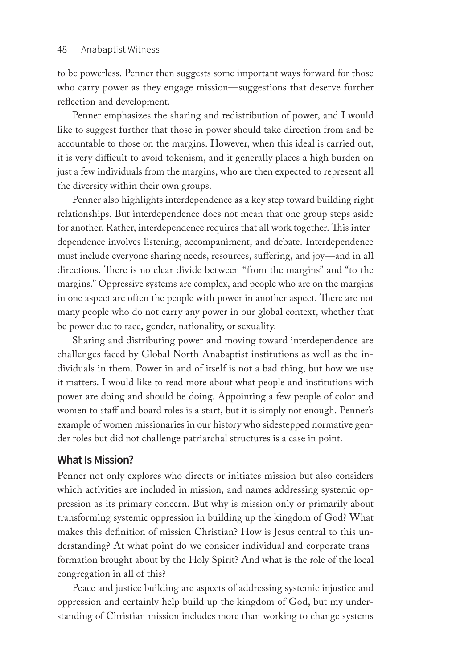#### 48 | Anabaptist Witness

to be powerless. Penner then suggests some important ways forward for those who carry power as they engage mission—suggestions that deserve further reflection and development.

Penner emphasizes the sharing and redistribution of power, and I would like to suggest further that those in power should take direction from and be accountable to those on the margins. However, when this ideal is carried out, it is very difficult to avoid tokenism, and it generally places a high burden on just a few individuals from the margins, who are then expected to represent all the diversity within their own groups.

Penner also highlights interdependence as a key step toward building right relationships. But interdependence does not mean that one group steps aside for another. Rather, interdependence requires that all work together. This interdependence involves listening, accompaniment, and debate. Interdependence must include everyone sharing needs, resources, suffering, and joy—and in all directions. There is no clear divide between "from the margins" and "to the margins." Oppressive systems are complex, and people who are on the margins in one aspect are often the people with power in another aspect. There are not many people who do not carry any power in our global context, whether that be power due to race, gender, nationality, or sexuality.

Sharing and distributing power and moving toward interdependence are challenges faced by Global North Anabaptist institutions as well as the individuals in them. Power in and of itself is not a bad thing, but how we use it matters. I would like to read more about what people and institutions with power are doing and should be doing. Appointing a few people of color and women to staff and board roles is a start, but it is simply not enough. Penner's example of women missionaries in our history who sidestepped normative gender roles but did not challenge patriarchal structures is a case in point.

### **What Is Mission?**

Penner not only explores who directs or initiates mission but also considers which activities are included in mission, and names addressing systemic oppression as its primary concern. But why is mission only or primarily about transforming systemic oppression in building up the kingdom of God? What makes this definition of mission Christian? How is Jesus central to this understanding? At what point do we consider individual and corporate transformation brought about by the Holy Spirit? And what is the role of the local congregation in all of this?

Peace and justice building are aspects of addressing systemic injustice and oppression and certainly help build up the kingdom of God, but my understanding of Christian mission includes more than working to change systems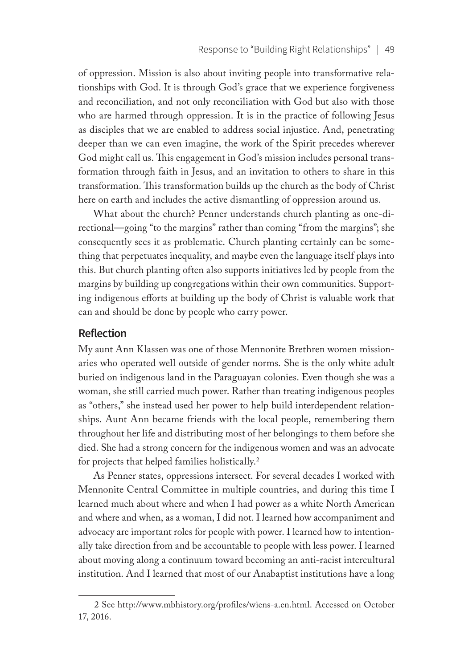of oppression. Mission is also about inviting people into transformative relationships with God. It is through God's grace that we experience forgiveness and reconciliation, and not only reconciliation with God but also with those who are harmed through oppression. It is in the practice of following Jesus as disciples that we are enabled to address social injustice. And, penetrating deeper than we can even imagine, the work of the Spirit precedes wherever God might call us. This engagement in God's mission includes personal transformation through faith in Jesus, and an invitation to others to share in this transformation. This transformation builds up the church as the body of Christ here on earth and includes the active dismantling of oppression around us.

What about the church? Penner understands church planting as one-directional—going "to the margins" rather than coming "from the margins"; she consequently sees it as problematic. Church planting certainly can be something that perpetuates inequality, and maybe even the language itself plays into this. But church planting often also supports initiatives led by people from the margins by building up congregations within their own communities. Supporting indigenous efforts at building up the body of Christ is valuable work that can and should be done by people who carry power.

## **Reflection**

My aunt Ann Klassen was one of those Mennonite Brethren women missionaries who operated well outside of gender norms. She is the only white adult buried on indigenous land in the Paraguayan colonies. Even though she was a woman, she still carried much power. Rather than treating indigenous peoples as "others," she instead used her power to help build interdependent relationships. Aunt Ann became friends with the local people, remembering them throughout her life and distributing most of her belongings to them before she died. She had a strong concern for the indigenous women and was an advocate for projects that helped families holistically.2

As Penner states, oppressions intersect. For several decades I worked with Mennonite Central Committee in multiple countries, and during this time I learned much about where and when I had power as a white North American and where and when, as a woman, I did not. I learned how accompaniment and advocacy are important roles for people with power. I learned how to intentionally take direction from and be accountable to people with less power. I learned about moving along a continuum toward becoming an anti-racist intercultural institution. And I learned that most of our Anabaptist institutions have a long

<sup>2</sup> See http://www.mbhistory.org/profiles/wiens-a.en.html. Accessed on October 17, 2016.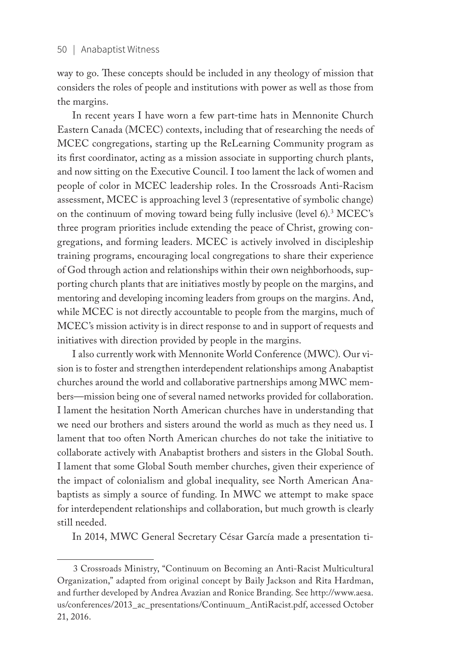way to go. These concepts should be included in any theology of mission that considers the roles of people and institutions with power as well as those from the margins.

In recent years I have worn a few part-time hats in Mennonite Church Eastern Canada (MCEC) contexts, including that of researching the needs of MCEC congregations, starting up the ReLearning Community program as its first coordinator, acting as a mission associate in supporting church plants, and now sitting on the Executive Council. I too lament the lack of women and people of color in MCEC leadership roles. In the Crossroads Anti-Racism assessment, MCEC is approaching level 3 (representative of symbolic change) on the continuum of moving toward being fully inclusive (level 6).3 MCEC's three program priorities include extending the peace of Christ, growing congregations, and forming leaders. MCEC is actively involved in discipleship training programs, encouraging local congregations to share their experience of God through action and relationships within their own neighborhoods, supporting church plants that are initiatives mostly by people on the margins, and mentoring and developing incoming leaders from groups on the margins. And, while MCEC is not directly accountable to people from the margins, much of MCEC's mission activity is in direct response to and in support of requests and initiatives with direction provided by people in the margins.

I also currently work with Mennonite World Conference (MWC). Our vision is to foster and strengthen interdependent relationships among Anabaptist churches around the world and collaborative partnerships among MWC members—mission being one of several named networks provided for collaboration. I lament the hesitation North American churches have in understanding that we need our brothers and sisters around the world as much as they need us. I lament that too often North American churches do not take the initiative to collaborate actively with Anabaptist brothers and sisters in the Global South. I lament that some Global South member churches, given their experience of the impact of colonialism and global inequality, see North American Anabaptists as simply a source of funding. In MWC we attempt to make space for interdependent relationships and collaboration, but much growth is clearly still needed.

In 2014, MWC General Secretary César García made a presentation ti-

<sup>3</sup> Crossroads Ministry, "Continuum on Becoming an Anti-Racist Multicultural Organization," adapted from original concept by Baily Jackson and Rita Hardman, and further developed by Andrea Avazian and Ronice Branding. See http://www.aesa. us/conferences/2013\_ac\_presentations/Continuum\_AntiRacist.pdf, accessed October 21, 2016.